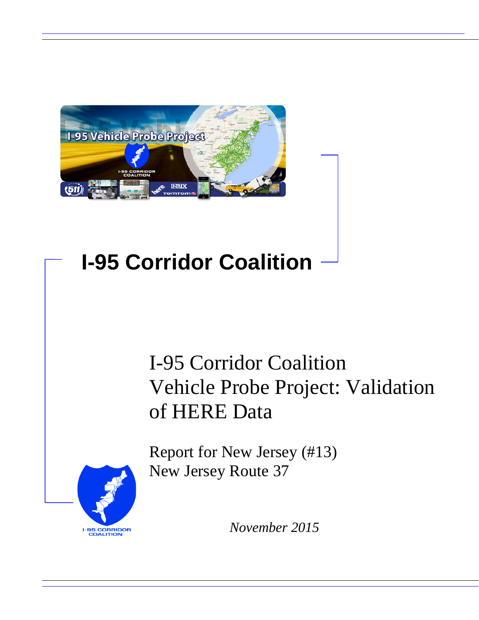

# **I-95 Corridor Coalition**

# I-95 Corridor Coalition Vehicle Probe Project: Validation of HERE Data

Report for New Jersey (#13) New Jersey Route 37



*November 2015*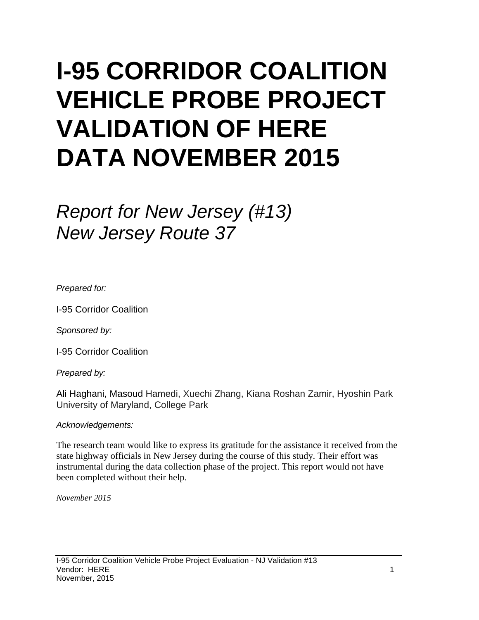# **I-95 CORRIDOR COALITION VEHICLE PROBE PROJECT VALIDATION OF HERE DATA NOVEMBER 2015**

# *Report for New Jersey (#13) New Jersey Route 37*

*Prepared for:*

I-95 Corridor Coalition

*Sponsored by:*

I-95 Corridor Coalition

*Prepared by:*

Ali Haghani, Masoud Hamedi, Xuechi Zhang, Kiana Roshan Zamir, Hyoshin Park University of Maryland, College Park

### *Acknowledgements:*

The research team would like to express its gratitude for the assistance it received from the state highway officials in New Jersey during the course of this study. Their effort was instrumental during the data collection phase of the project. This report would not have been completed without their help.

*November 2015*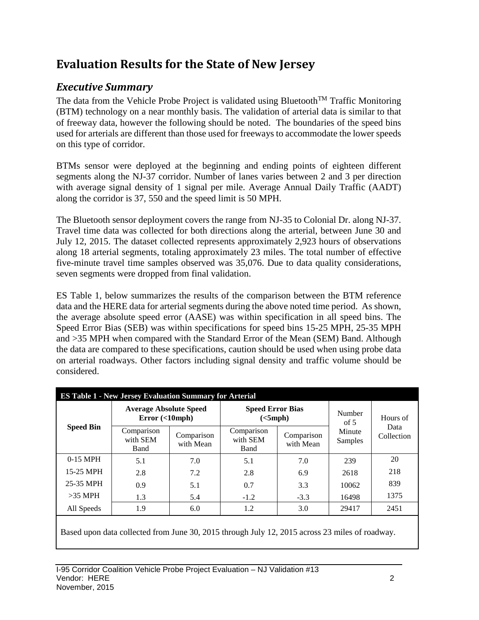# **Evaluation Results for the State of New Jersey**

# *Executive Summary*

The data from the Vehicle Probe Project is validated using Bluetooth<sup>TM</sup> Traffic Monitoring (BTM) technology on a near monthly basis. The validation of arterial data is similar to that of freeway data, however the following should be noted. The boundaries of the speed bins used for arterials are different than those used for freeways to accommodate the lower speeds on this type of corridor.

BTMs sensor were deployed at the beginning and ending points of eighteen different segments along the NJ-37 corridor. Number of lanes varies between 2 and 3 per direction with average signal density of 1 signal per mile. Average Annual Daily Traffic (AADT) along the corridor is 37, 550 and the speed limit is 50 MPH.

The Bluetooth sensor deployment covers the range from NJ-35 to Colonial Dr. along NJ-37. Travel time data was collected for both directions along the arterial, between June 30 and July 12, 2015. The dataset collected represents approximately 2,923 hours of observations along 18 arterial segments, totaling approximately 23 miles. The total number of effective five-minute travel time samples observed was 35,076. Due to data quality considerations, seven segments were dropped from final validation.

ES Table 1, below summarizes the results of the comparison between the BTM reference data and the HERE data for arterial segments during the above noted time period. As shown, the average absolute speed error (AASE) was within specification in all speed bins. The Speed Error Bias (SEB) was within specifications for speed bins 15-25 MPH, 25-35 MPH and >35 MPH when compared with the Standard Error of the Mean (SEM) Band. Although the data are compared to these specifications, caution should be used when using probe data on arterial roadways. Other factors including signal density and traffic volume should be considered.

| <b>ES Table 1 - New Jersey Evaluation Summary for Arterial</b> |                                             |                         |                                     |                         |                   |                    |  |  |  |
|----------------------------------------------------------------|---------------------------------------------|-------------------------|-------------------------------------|-------------------------|-------------------|--------------------|--|--|--|
|                                                                | <b>Average Absolute Speed</b><br>Error (<10 |                         | <b>Speed Error Bias</b><br>(<5 mph) |                         | Number<br>of $5$  | Hours of           |  |  |  |
| <b>Speed Bin</b>                                               | Comparison<br>with SEM<br><b>Band</b>       | Comparison<br>with Mean | Comparison<br>with SEM<br>Band      | Comparison<br>with Mean | Minute<br>Samples | Data<br>Collection |  |  |  |
| $0-15$ MPH                                                     | 5.1                                         | 7.0                     | 5.1                                 | 7.0                     | 239               | 20                 |  |  |  |
| 15-25 MPH                                                      | 2.8                                         | 7.2                     | 2.8                                 | 6.9                     | 2618              | 218                |  |  |  |
| 25-35 MPH                                                      | 0.9                                         | 5.1                     | 0.7                                 | 3.3                     | 10062             | 839                |  |  |  |
| $>35$ MPH                                                      | 1.3                                         | 5.4                     | $-1.2$                              | $-3.3$                  | 16498             | 1375               |  |  |  |
| All Speeds                                                     | 1.9                                         | 6.0                     | 1.2                                 | 3.0                     | 29417             | 2451               |  |  |  |

Based upon data collected from June 30, 2015 through July 12, 2015 across 23 miles of roadway.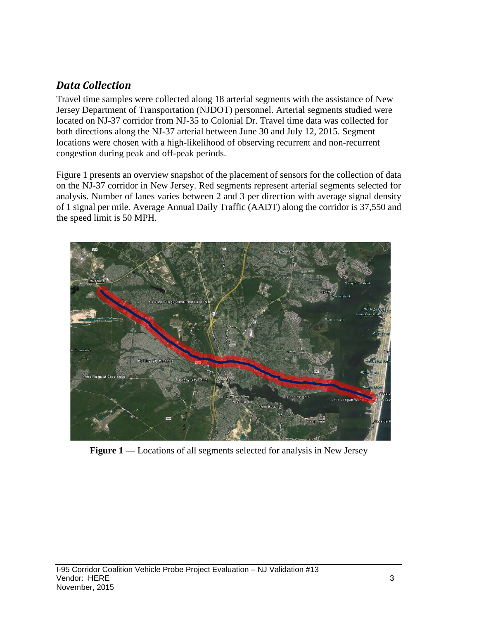## *Data Collection*

Travel time samples were collected along 18 arterial segments with the assistance of New Jersey Department of Transportation (NJDOT) personnel. Arterial segments studied were located on NJ-37 corridor from NJ-35 to Colonial Dr. Travel time data was collected for both directions along the NJ-37 arterial between June 30 and July 12, 2015. Segment locations were chosen with a high-likelihood of observing recurrent and non-recurrent congestion during peak and off-peak periods.

Figure 1 presents an overview snapshot of the placement of sensors for the collection of data on the NJ-37 corridor in New Jersey. Red segments represent arterial segments selected for analysis. Number of lanes varies between 2 and 3 per direction with average signal density of 1 signal per mile. Average Annual Daily Traffic (AADT) along the corridor is 37,550 and the speed limit is 50 MPH.



**Figure 1** –– Locations of all segments selected for analysis in New Jersey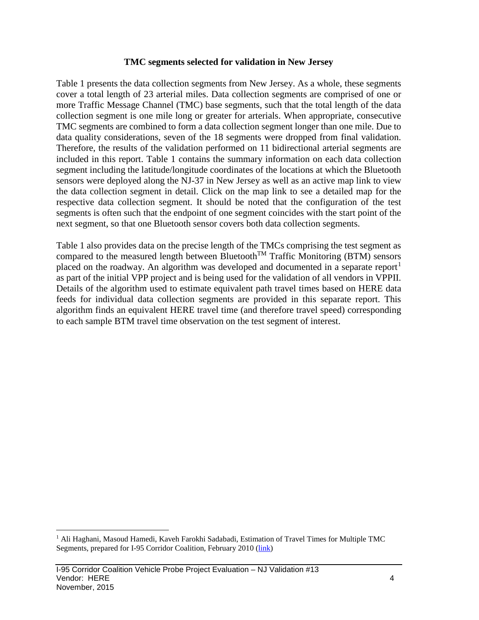#### **TMC segments selected for validation in New Jersey**

Table 1 presents the data collection segments from New Jersey. As a whole, these segments cover a total length of 23 arterial miles. Data collection segments are comprised of one or more Traffic Message Channel (TMC) base segments, such that the total length of the data collection segment is one mile long or greater for arterials. When appropriate, consecutive TMC segments are combined to form a data collection segment longer than one mile. Due to data quality considerations, seven of the 18 segments were dropped from final validation. Therefore, the results of the validation performed on 11 bidirectional arterial segments are included in this report. Table 1 contains the summary information on each data collection segment including the latitude/longitude coordinates of the locations at which the Bluetooth sensors were deployed along the NJ-37 in New Jersey as well as an active map link to view the data collection segment in detail. Click on the map link to see a detailed map for the respective data collection segment. It should be noted that the configuration of the test segments is often such that the endpoint of one segment coincides with the start point of the next segment, so that one Bluetooth sensor covers both data collection segments.

Table 1 also provides data on the precise length of the TMCs comprising the test segment as compared to the measured length between Bluetooth<sup>TM</sup> Traffic Monitoring (BTM) sensors placed on the roadway. An algorithm was developed and documented in a separate report<sup>[1](#page-4-0)</sup> as part of the initial VPP project and is being used for the validation of all vendors in VPPII. Details of the algorithm used to estimate equivalent path travel times based on HERE data feeds for individual data collection segments are provided in this separate report. This algorithm finds an equivalent HERE travel time (and therefore travel speed) corresponding to each sample BTM travel time observation on the test segment of interest.

<span id="page-4-0"></span><sup>&</sup>lt;sup>1</sup> Ali Haghani, Masoud Hamedi, Kaveh Farokhi Sadabadi, Estimation of Travel Times for Multiple TMC Segments, prepared for I-95 Corridor Coalition, February 2010 [\(link\)](http://www.i95coalition.org/wp-content/uploads/2015/02/I-95-CC-Estimation-of-Travel-Times-for-Multiple-TMC-Segments-FINAL2.pdf)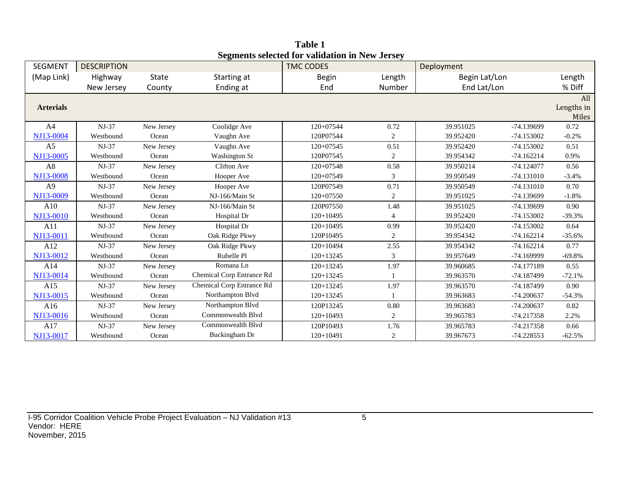| <b>SEGMENT</b>   | <b>DESCRIPTION</b> |              |                           | эсдисик эсіссіси тог танианын ш түсм әсі эсу<br><b>TMC CODES</b> |                  | Deployment    |              |            |
|------------------|--------------------|--------------|---------------------------|------------------------------------------------------------------|------------------|---------------|--------------|------------|
| (Map Link)       | Highway            | <b>State</b> | Starting at               | <b>Begin</b>                                                     | Length           | Begin Lat/Lon |              | Length     |
|                  | New Jersey         | County       | Ending at                 | End                                                              | Number           | End Lat/Lon   |              | % Diff     |
|                  |                    |              |                           |                                                                  |                  |               |              | All        |
| <b>Arterials</b> |                    |              |                           |                                                                  |                  |               |              | Lengths in |
|                  |                    |              |                           |                                                                  |                  |               |              | Miles      |
| A <sup>4</sup>   | NJ-37              | New Jersey   | Coolidge Ave              | 120+07544                                                        | 0.72             | 39.951025     | -74.139699   | 0.72       |
| NJ13-0004        | Westbound          | Ocean        | Vaughn Ave                | 120P07544                                                        | $\boldsymbol{2}$ | 39.952420     | $-74.153002$ | $-0.2%$    |
| A <sub>5</sub>   | $NJ-37$            | New Jersey   | Vaughn Ave                | 120+07545                                                        | 0.51             | 39.952420     | $-74.153002$ | 0.51       |
| NJ13-0005        | Westbound          | Ocean        | <b>Washington St</b>      | 120P07545                                                        | $\overline{c}$   | 39.954342     | $-74.162214$ | 0.9%       |
| A8               | NJ-37              | New Jersey   | <b>Clifton Ave</b>        | 120+07548                                                        | 0.58             | 39.950214     | $-74.124077$ | 0.56       |
| NJ13-0008        | Westbound          | Ocean        | Hooper Ave                | 120+07549                                                        | 3                | 39.950549     | $-74.131010$ | $-3.4%$    |
| A <sub>9</sub>   | NJ-37              | New Jersey   | Hooper Ave                | 120P07549                                                        | 0.71             | 39.950549     | $-74.131010$ | 0.70       |
| NJ13-0009        | Westbound          | Ocean        | NJ-166/Main St            | 120+07550                                                        | 2                | 39.951025     | -74.139699   | $-1.8%$    |
| A10              | $NJ-37$            | New Jersey   | NJ-166/Main St            | 120P07550                                                        | 1.48             | 39.951025     | -74.139699   | 0.90       |
| NJ13-0010        | Westbound          | Ocean        | Hospital Dr               | $120+10495$                                                      | $\overline{4}$   | 39.952420     | $-74.153002$ | $-39.3%$   |
| A11              | $NJ-37$            | New Jersey   | Hospital Dr               | $120+10495$                                                      | 0.99             | 39.952420     | $-74.153002$ | 0.64       |
| NJ13-0011        | Westbound          | Ocean        | Oak Ridge Pkwy            | 120P10495                                                        | $\sqrt{2}$       | 39.954342     | $-74.162214$ | $-35.6%$   |
| A12              | $NJ-37$            | New Jersey   | Oak Ridge Pkwy            | $120+10494$                                                      | 2.55             | 39.954342     | $-74.162214$ | 0.77       |
| NJ13-0012        | Westbound          | Ocean        | Rubelle Pl                | $120+13245$                                                      | 3                | 39.957649     | -74.169999   | $-69.8%$   |
| A14              | $NJ-37$            | New Jersey   | Romana Ln                 | 120+13245                                                        | 1.97             | 39.960685     | $-74.177189$ | 0.55       |
| NJ13-0014        | Westbound          | Ocean        | Chemical Corp Entrance Rd | $120+13245$                                                      |                  | 39.963570     | -74.187499   | $-72.1%$   |
| A15              | $NJ-37$            | New Jersey   | Chemical Corp Entrance Rd | $120+13245$                                                      | 1.97             | 39.963570     | -74.187499   | 0.90       |
| NJ13-0015        | Westbound          | Ocean        | Northampton Blvd          | $120+13245$                                                      |                  | 39.963683     | $-74.200637$ | $-54.3%$   |
| A16              | $NJ-37$            | New Jersey   | Northampton Blvd          | 120P13245                                                        | 0.80             | 39.963683     | $-74.200637$ | 0.82       |
| NJ13-0016        | Westbound          | Ocean        | Commonwealth Blvd         | $120+10493$                                                      | 2                | 39.965783     | $-74.217358$ | 2.2%       |
| A17              | $NJ-37$            | New Jersey   | Commonwealth Blyd         | 120P10493                                                        | 1.76             | 39.965783     | -74.217358   | 0.66       |
| NJ13-0017        | Westbound          | Ocean        | Buckingham Dr             | $120+10491$                                                      | $\overline{c}$   | 39.967673     | $-74.228553$ | $-62.5%$   |

**Table 1 Segments selected for validation in New Jersey**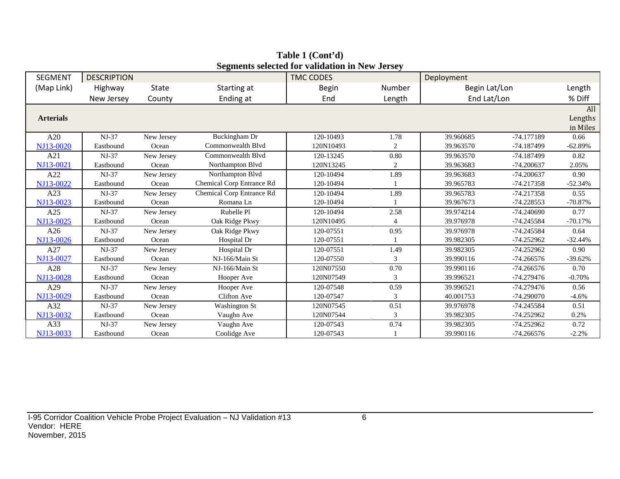| <b>SEGMENT</b>   | <b>DESCRIPTION</b> |            |                           | $\alpha$ , and $\alpha$ and $\alpha$ and $\alpha$ and $\alpha$ and $\alpha$ and $\alpha$<br><b>TMC CODES</b> |                | Deployment    |              |           |
|------------------|--------------------|------------|---------------------------|--------------------------------------------------------------------------------------------------------------|----------------|---------------|--------------|-----------|
| (Map Link)       | Highway            | State      | Starting at               | <b>Begin</b>                                                                                                 | Number         | Begin Lat/Lon |              | Length    |
|                  | New Jersey         | County     | Ending at                 | End                                                                                                          | Length         |               | End Lat/Lon  |           |
|                  |                    |            |                           |                                                                                                              |                |               |              | All       |
| <b>Arterials</b> |                    |            |                           |                                                                                                              |                |               |              | Lengths   |
|                  |                    |            |                           |                                                                                                              |                |               |              | in Miles  |
| A20              | $NJ-37$            | New Jersey | Buckingham Dr             | 120-10493                                                                                                    | 1.78           | 39.960685     | -74.177189   | 0.66      |
| NJ13-0020        | Eastbound          | Ocean      | Commonwealth Blvd         | 120N10493                                                                                                    | 2              | 39.963570     | -74.187499   | $-62.89%$ |
| A21              | $NJ-37$            | New Jersey | Commonwealth Blyd         | 120-13245                                                                                                    | 0.80           | 39.963570     | -74.187499   | 0.82      |
| NJ13-0021        | Eastbound          | Ocean      | Northampton Blvd          | 120N13245                                                                                                    | $\overline{c}$ | 39.963683     | $-74.200637$ | 2.05%     |
| A22              | $NJ-37$            | New Jersey | Northampton Blvd          | 120-10494                                                                                                    | 1.89           | 39.963683     | $-74.200637$ | 0.90      |
| NJ13-0022        | Eastbound          | Ocean      | Chemical Corp Entrance Rd | 120-10494                                                                                                    |                | 39.965783     | $-74.217358$ | $-52.34%$ |
| A23              | $NJ-37$            | New Jersey | Chemical Corp Entrance Rd | 120-10494                                                                                                    | 1.89           | 39.965783     | $-74.217358$ | 0.55      |
| NJ13-0023        | Eastbound          | Ocean      | Romana Ln                 | 120-10494                                                                                                    |                | 39.967673     | -74.228553   | $-70.87%$ |
| A25              | $NJ-37$            | New Jersey | Rubelle Pl                | 120-10494                                                                                                    | 2.58           | 39.974214     | $-74.240690$ | 0.77      |
| NJ13-0025        | Eastbound          | Ocean      | Oak Ridge Pkwy            | 120N10495                                                                                                    | 4              | 39.976978     | -74.245584   | $-70.17%$ |
| A26              | $NJ-37$            | New Jersey | Oak Ridge Pkwy            | 120-07551                                                                                                    | 0.95           | 39.976978     | -74.245584   | 0.64      |
| NJ13-0026        | Eastbound          | Ocean      | Hospital Dr               | 120-07551                                                                                                    |                | 39.982305     | $-74.252962$ | $-32.44%$ |
| A27              | $NJ-37$            | New Jersey | Hospital Dr               | 120-07551                                                                                                    | 1.49           | 39.982305     | $-74.252962$ | 0.90      |
| NJ13-0027        | Eastbound          | Ocean      | NJ-166/Main St            | 120-07550                                                                                                    | 3              | 39.990116     | $-74.266576$ | $-39.62%$ |
| A28              | $NJ-37$            | New Jersey | NJ-166/Main St            | 120N07550                                                                                                    | 0.70           | 39.990116     | $-74.266576$ | 0.70      |
| NJ13-0028        | Eastbound          | Ocean      | Hooper Ave                | 120N07549                                                                                                    | 3              | 39.996521     | $-74.279476$ | $-0.70%$  |
| A29              | $NJ-37$            | New Jersey | Hooper Ave                | 120-07548                                                                                                    | 0.59           | 39.996521     | $-74.279476$ | 0.56      |
| NJ13-0029        | Eastbound          | Ocean      | Clifton Ave               | 120-07547                                                                                                    | 3              | 40.001753     | $-74.290070$ | $-4.6%$   |
| A32              | $NJ-37$            | New Jersey | <b>Washington St</b>      | 120N07545                                                                                                    | 0.51           | 39.976978     | -74.245584   | 0.51      |
| NJ13-0032        | Eastbound          | Ocean      | Vaughn Ave                | 120N07544                                                                                                    | 3              | 39.982305     | $-74.252962$ | 0.2%      |
| A33              | $NJ-37$            | New Jersey | Vaughn Ave                | 120-07543                                                                                                    | 0.74           | 39.982305     | -74.252962   | 0.72      |
| NJ13-0033        | Eastbound          | Ocean      | Coolidge Ave              | 120-07543                                                                                                    |                | 39.990116     | $-74.266576$ | $-2.2%$   |

**Table 1 (Cont'd) Segments selected for validation in New Jersey**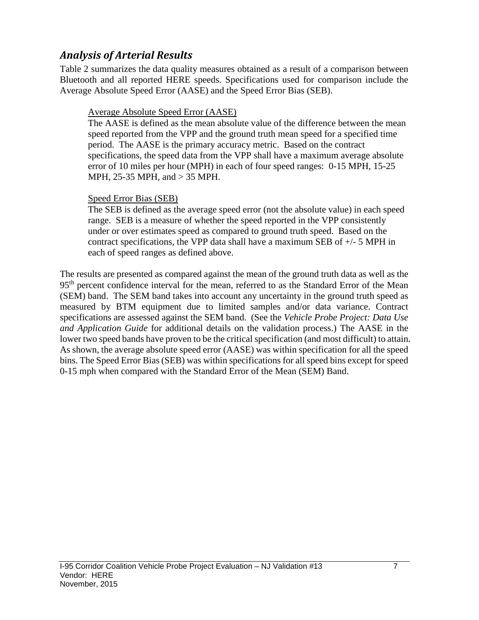## *Analysis of Arterial Results*

Table 2 summarizes the data quality measures obtained as a result of a comparison between Bluetooth and all reported HERE speeds. Specifications used for comparison include the Average Absolute Speed Error (AASE) and the Speed Error Bias (SEB).

### Average Absolute Speed Error (AASE)

The AASE is defined as the mean absolute value of the difference between the mean speed reported from the VPP and the ground truth mean speed for a specified time period. The AASE is the primary accuracy metric. Based on the contract specifications, the speed data from the VPP shall have a maximum average absolute error of 10 miles per hour (MPH) in each of four speed ranges: 0-15 MPH, 15-25 MPH, 25-35 MPH, and > 35 MPH.

### Speed Error Bias (SEB)

The SEB is defined as the average speed error (not the absolute value) in each speed range. SEB is a measure of whether the speed reported in the VPP consistently under or over estimates speed as compared to ground truth speed. Based on the contract specifications, the VPP data shall have a maximum SEB of +/- 5 MPH in each of speed ranges as defined above.

The results are presented as compared against the mean of the ground truth data as well as the 95<sup>th</sup> percent confidence interval for the mean, referred to as the Standard Error of the Mean (SEM) band. The SEM band takes into account any uncertainty in the ground truth speed as measured by BTM equipment due to limited samples and/or data variance. Contract specifications are assessed against the SEM band. (See the *Vehicle Probe Project: Data Use and Application Guide* for additional details on the validation process.) The AASE in the lower two speed bands have proven to be the critical specification (and most difficult) to attain. As shown, the average absolute speed error (AASE) was within specification for all the speed bins. The Speed Error Bias (SEB) was within specifications for all speed bins except for speed 0-15 mph when compared with the Standard Error of the Mean (SEM) Band.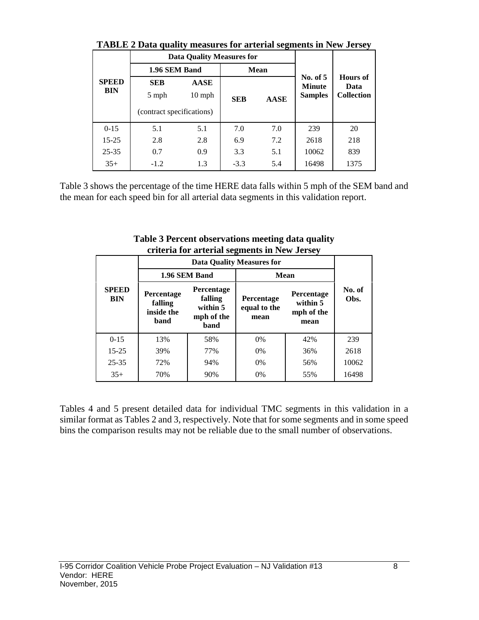|                            | Triblic a Data quality incasures for alternal segments in fiew oclise) |                                  |             |                |                             |                         |  |
|----------------------------|------------------------------------------------------------------------|----------------------------------|-------------|----------------|-----------------------------|-------------------------|--|
| <b>SPEED</b><br><b>BIN</b> |                                                                        | <b>Data Quality Measures for</b> |             |                |                             |                         |  |
|                            | 1.96 SEM Band                                                          |                                  |             | <b>Mean</b>    |                             |                         |  |
|                            | <b>SEB</b>                                                             | <b>AASE</b>                      |             |                | No. of $5$<br><b>Minute</b> | <b>Hours</b> of<br>Data |  |
|                            | $10$ mph<br>5 mph<br><b>SEB</b>                                        |                                  | <b>AASE</b> | <b>Samples</b> | <b>Collection</b>           |                         |  |
|                            | (contract specifications)                                              |                                  |             |                |                             |                         |  |
| $0 - 15$                   | 5.1                                                                    | 5.1                              | 7.0         | 7.0            | 239                         | 20                      |  |
| $15 - 25$                  | 2.8                                                                    | 2.8                              | 6.9         | 7.2            | 2618                        | 218                     |  |
| $25 - 35$                  | 0.7                                                                    | 0.9                              | 3.3         | 5.1            | 10062                       | 839                     |  |
| $35+$                      | $-1.2$                                                                 | 1.3                              | $-3.3$      | 5.4            | 16498                       | 1375                    |  |

**TABLE 2 Data quality measures for arterial segments in New Jersey**

Table 3 shows the percentage of the time HERE data falls within 5 mph of the SEM band and the mean for each speed bin for all arterial data segments in this validation report.

|                            |                                             |                                                                | Criteria for arterial segments in New Jersey |                                              |                |
|----------------------------|---------------------------------------------|----------------------------------------------------------------|----------------------------------------------|----------------------------------------------|----------------|
|                            |                                             |                                                                | <b>Data Quality Measures for</b>             |                                              |                |
|                            |                                             | 1.96 SEM Band                                                  |                                              | <b>Mean</b>                                  |                |
| <b>SPEED</b><br><b>BIN</b> | Percentage<br>falling<br>inside the<br>band | Percentage<br>falling<br>within 5<br>mph of the<br><b>band</b> | Percentage<br>equal to the<br>mean           | Percentage<br>within 5<br>mph of the<br>mean | No. of<br>Obs. |
| $0 - 15$                   | 13%                                         | 58%                                                            | $0\%$                                        | 42%                                          | 239            |
| $15 - 25$                  | 39%                                         | 77%                                                            | $0\%$                                        | 36%                                          | 2618           |
| $25 - 35$                  | 72%                                         | 94%                                                            | $0\%$                                        | 56%                                          | 10062          |
| $35+$                      | 70%                                         | 90%                                                            | 0%                                           | 55%                                          | 16498          |

**Table 3 Percent observations meeting data quality criteria for arterial segments in New Jersey**

Tables 4 and 5 present detailed data for individual TMC segments in this validation in a similar format as Tables 2 and 3, respectively. Note that for some segments and in some speed bins the comparison results may not be reliable due to the small number of observations.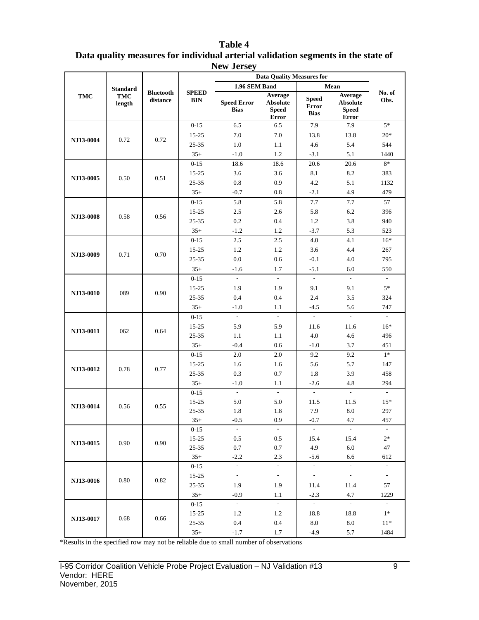|            |                 |                              |                            | $110W$ JUISC $J$                  | <b>Data Quality Measures for</b>                           |                                             |                                                            |                          |
|------------|-----------------|------------------------------|----------------------------|-----------------------------------|------------------------------------------------------------|---------------------------------------------|------------------------------------------------------------|--------------------------|
|            | <b>Standard</b> |                              |                            | 1.96 SEM Band                     |                                                            |                                             | Mean                                                       |                          |
| <b>TMC</b> | TMC<br>length   | <b>Bluetooth</b><br>distance | <b>SPEED</b><br><b>BIN</b> | <b>Speed Error</b><br><b>Bias</b> | Average<br><b>Absolute</b><br><b>Speed</b><br><b>Error</b> | <b>Speed</b><br><b>Error</b><br><b>Bias</b> | Average<br><b>Absolute</b><br><b>Speed</b><br><b>Error</b> | No. of<br>Obs.           |
|            |                 |                              | $0 - 15$                   | 6.5                               | 6.5                                                        | 7.9                                         | 7.9                                                        | $5*$                     |
|            |                 |                              | 15-25                      | $7.0\,$                           | 7.0                                                        | 13.8                                        | 13.8                                                       | $20*$                    |
| NJ13-0004  | 0.72            | 0.72                         | 25-35                      | 1.0                               | 1.1                                                        | 4.6                                         | 5.4                                                        | 544                      |
|            |                 |                              | $35+$                      | $-1.0$                            | 1.2                                                        | $-3.1$                                      | 5.1                                                        | 1440                     |
|            |                 |                              | $0 - 15$                   | 18.6                              | 18.6                                                       | 20.6                                        | 20.6                                                       | $8\ast$                  |
|            | 0.50            | 0.51                         | $15 - 25$                  | 3.6                               | 3.6                                                        | 8.1                                         | 8.2                                                        | 383                      |
| NJ13-0005  |                 |                              | 25-35                      | $0.8\,$                           | 0.9                                                        | 4.2                                         | 5.1                                                        | 1132                     |
|            |                 |                              | $35+$                      | $-0.7$                            | 0.8                                                        | $-2.1$                                      | 4.9                                                        | 479                      |
|            |                 |                              | $0 - 15$                   | 5.8                               | 5.8                                                        | $7.7\,$                                     | $7.7\,$                                                    | 57                       |
| NJ13-0008  | 0.58            | 0.56                         | $15 - 25$                  | 2.5                               | 2.6                                                        | 5.8                                         | 6.2                                                        | 396                      |
|            |                 |                              | $25 - 35$                  | $0.2\,$                           | 0.4                                                        | 1.2                                         | 3.8                                                        | 940                      |
|            |                 |                              | $35+$                      | $-1.2$                            | 1.2                                                        | $-3.7$                                      | 5.3                                                        | 523                      |
|            |                 |                              | $0 - 15$                   | 2.5                               | 2.5                                                        | 4.0                                         | 4.1                                                        | $16*$                    |
| NJ13-0009  | 0.71            | 0.70                         | 15-25                      | 1.2                               | 1.2                                                        | 3.6                                         | 4.4                                                        | 267                      |
|            |                 |                              | $25 - 35$                  | 0.0                               | 0.6                                                        | $-0.1$                                      | 4.0                                                        | 795                      |
|            |                 |                              | $35+$                      | $-1.6$                            | 1.7                                                        | $-5.1$                                      | 6.0                                                        | 550                      |
|            |                 |                              | $0 - 15$                   | $\mathcal{L}$                     | $\mathcal{L}^{\mathcal{L}}$                                | $\mathcal{L}$                               | $\mathbb{L}$                                               | $\overline{\phantom{a}}$ |
| NJ13-0010  | 089             | 0.90                         | $15 - 25$                  | 1.9                               | 1.9                                                        | 9.1                                         | 9.1                                                        | $5*$                     |
|            |                 |                              | $25 - 35$                  | 0.4                               | 0.4                                                        | 2.4                                         | 3.5                                                        | 324                      |
|            |                 |                              | $35+$                      | $-1.0$                            | 1.1                                                        | $-4.5$                                      | 5.6                                                        | 747                      |
|            |                 |                              | $0 - 15$                   | $\overline{a}$                    | $\sim$                                                     |                                             |                                                            | $\mathbf{r}$             |
| NJ13-0011  | 062             | 0.64                         | $15 - 25$                  | 5.9                               | 5.9                                                        | 11.6                                        | 11.6                                                       | $16*$                    |
|            |                 |                              | 25-35                      | 1.1                               | 1.1                                                        | 4.0                                         | 4.6                                                        | 496                      |
|            |                 |                              | $35+$                      | $-0.4$                            | 0.6                                                        | $-1.0$                                      | 3.7                                                        | 451                      |
|            |                 |                              | $0 - 15$                   | 2.0                               | 2.0                                                        | 9.2                                         | 9.2                                                        | $1*$                     |
| NJ13-0012  | 0.78            | 0.77                         | $15 - 25$                  | 1.6                               | 1.6                                                        | 5.6                                         | 5.7                                                        | 147                      |
|            |                 |                              | 25-35                      | 0.3                               | 0.7                                                        | 1.8                                         | 3.9                                                        | 458                      |
|            |                 |                              | $35+$                      | $-1.0$                            | 1.1                                                        | $-2.6$                                      | 4.8                                                        | 294                      |
|            |                 |                              | $0 - 15$                   | $\sim$                            | $\omega$                                                   | $\sim$                                      | $\sim$                                                     | $\sim$                   |
| NJ13-0014  | 0.56            | 0.55                         | 15-25                      | 5.0                               | 5.0                                                        | 11.5                                        | 11.5                                                       | $15*$                    |
|            |                 |                              | 25-35                      | 1.8                               | 1.8                                                        | 7.9                                         | 8.0                                                        | 297                      |
|            |                 |                              | $35+$                      | $-0.5$                            | 0.9                                                        | $-0.7$                                      | 4.7                                                        | 457                      |
|            |                 |                              | $0-15$                     |                                   | $\sim$                                                     |                                             |                                                            |                          |
| NJ13-0015  | 0.90            | 0.90                         | $15 - 25$                  | 0.5                               | 0.5                                                        | 15.4                                        | 15.4                                                       | $2*$                     |
|            |                 |                              | $25 - 35$<br>$35+$         | 0.7<br>$-2.2$                     | 0.7<br>2.3                                                 | 4.9<br>$-5.6$                               | 6.0<br>6.6                                                 | 47<br>612                |
|            |                 |                              | $0 - 15$                   | $\sim$                            | Ğ,                                                         | $\overline{\phantom{a}}$                    | $\blacksquare$                                             | $\overline{\phantom{a}}$ |
|            |                 |                              | 15-25                      | $\blacksquare$                    | $\sim$                                                     | $\sim$                                      | $\sim$                                                     | $\sim$                   |
| NJ13-0016  | 0.80            | 0.82                         | 25-35                      | 1.9                               | 1.9                                                        | 11.4                                        | 11.4                                                       | 57                       |
|            |                 |                              | $35+$                      | $-0.9$                            | 1.1                                                        | $-2.3$                                      | 4.7                                                        | 1229                     |
|            |                 |                              |                            | $\sim$                            | $\sim$                                                     | $\sim$                                      | $\sim$                                                     | $\sim$                   |
|            |                 |                              | $0 - 15$                   | 1.2                               | 1.2                                                        | 18.8                                        | 18.8                                                       | $1*$                     |
| NJ13-0017  | 0.68            | 0.66                         | 15-25<br>$25 - 35$         | $0.4\,$                           | 0.4                                                        | 8.0                                         | 8.0                                                        | $11*$                    |
|            |                 |                              | $35+$                      | $-1.7$                            | 1.7                                                        | $-4.9$                                      | 5.7                                                        | 1484                     |
|            |                 |                              |                            |                                   |                                                            |                                             |                                                            |                          |

**Table 4 Data quality measures for individual arterial validation segments in the state of New Jersey**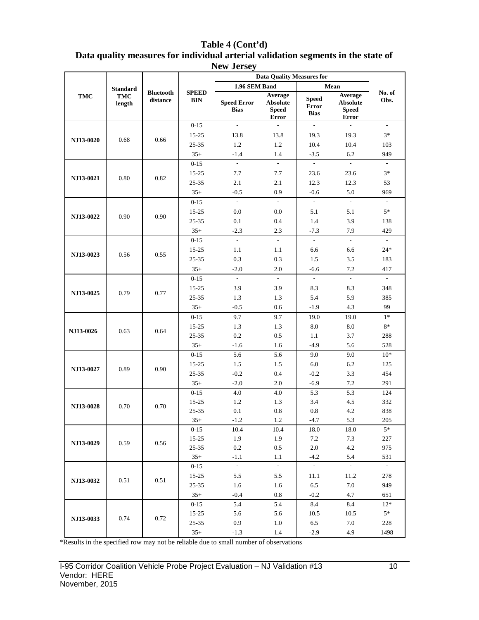|                  |                 |                              |                                | $\cdots$ over                     | <b>Data Ouality Measures for</b>                    |                                             |                                                            |                          |
|------------------|-----------------|------------------------------|--------------------------------|-----------------------------------|-----------------------------------------------------|---------------------------------------------|------------------------------------------------------------|--------------------------|
|                  | <b>Standard</b> |                              |                                | 1.96 SEM Band                     |                                                     |                                             | Mean                                                       |                          |
| TMC              | TMC<br>length   | <b>Bluetooth</b><br>distance | <b>SPEED</b><br>$\mathbf{BIN}$ | <b>Speed Error</b><br><b>Bias</b> | Average<br><b>Absolute</b><br><b>Speed</b><br>Error | <b>Speed</b><br><b>Error</b><br><b>Bias</b> | Average<br><b>Absolute</b><br><b>Speed</b><br><b>Error</b> | No. of<br>Obs.           |
|                  |                 |                              | $0 - 15$                       | $\mathcal{L}$                     | $\sim$                                              | $\mathcal{L}_{\mathcal{A}}$                 | $\sim$                                                     | $\overline{\phantom{a}}$ |
|                  |                 |                              | $15 - 25$                      | 13.8                              | 13.8                                                | 19.3                                        | 19.3                                                       | $3*$                     |
| <b>NJ13-0020</b> | 0.68            | 0.66                         | 25-35                          | 1.2                               | 1.2                                                 | 10.4                                        | 10.4                                                       | 103                      |
|                  |                 |                              | $35+$                          | $-1.4$                            | 1.4                                                 | $-3.5$                                      | 6.2                                                        | 949                      |
|                  |                 |                              | $0 - 15$                       | $\mathbf{r}$                      | $\mathcal{L}$                                       | $\sim$                                      | $\mathcal{L}^{\mathcal{L}}$                                | $\omega$                 |
|                  |                 |                              | 15-25                          | 7.7                               | 7.7                                                 | 23.6                                        | 23.6                                                       | $3*$                     |
| NJ13-0021        | 0.80            | 0.82                         | 25-35                          | 2.1                               | 2.1                                                 | 12.3                                        | 12.3                                                       | 53                       |
|                  |                 |                              | $35+$                          | $-0.5$                            | 0.9                                                 | $-0.6$                                      | 5.0                                                        | 969                      |
|                  |                 |                              | $0 - 15$                       | $\omega$                          | $\omega$                                            | $\sim$                                      | $\sim$                                                     | $\sim$                   |
|                  |                 | 0.90                         | $15 - 25$                      | 0.0                               | 0.0                                                 | 5.1                                         | 5.1                                                        | $5*$                     |
| NJ13-0022        | 0.90            |                              | $25 - 35$                      | 0.1                               | 0.4                                                 | 1.4                                         | 3.9                                                        | 138                      |
|                  |                 |                              | $35+$                          | $-2.3$                            | 2.3                                                 | $-7.3$                                      | 7.9                                                        | 429                      |
|                  |                 |                              | $0 - 15$                       | $\omega$                          | $\mathcal{L}^{\mathcal{A}}$                         | $\mathcal{L}^{\mathcal{A}}$                 | $\mathcal{L}$                                              | $\omega$                 |
|                  |                 |                              | $15 - 25$                      | 1.1                               | 1.1                                                 | 6.6                                         | 6.6                                                        | $24*$                    |
| NJ13-0023        | 0.56            | 0.55                         | 25-35                          | 0.3                               | 0.3                                                 | 1.5                                         | 3.5                                                        | 183                      |
|                  |                 |                              | $35+$                          | $-2.0$                            | 2.0                                                 | $-6.6$                                      | 7.2                                                        | 417                      |
|                  |                 |                              | $0 - 15$                       | $\sim$                            | $\mathcal{L}^{\mathcal{A}}$                         | $\sim$                                      | $\overline{\phantom{a}}$                                   | $\sim$                   |
|                  |                 |                              | $15 - 25$                      | 3.9                               | 3.9                                                 | 8.3                                         | 8.3                                                        | 348                      |
| NJ13-0025        | 0.79            | 0.77                         | $25 - 35$                      | 1.3                               | 1.3                                                 | 5.4                                         | 5.9                                                        | 385                      |
|                  |                 |                              | $35+$                          | $-0.5$                            | 0.6                                                 | $-1.9$                                      | 4.3                                                        | 99                       |
|                  |                 |                              | $0 - 15$                       | 9.7                               | 9.7                                                 | 19.0                                        | 19.0                                                       | $1*$                     |
| NJ13-0026        | 0.63            | 0.64                         | $15 - 25$                      | 1.3                               | 1.3                                                 | 8.0                                         | 8.0                                                        | $8*$                     |
|                  |                 |                              | 25-35                          | 0.2                               | 0.5                                                 | 1.1                                         | 3.7                                                        | 288                      |
|                  |                 |                              | $35+$                          | $-1.6$                            | 1.6                                                 | $-4.9$                                      | 5.6                                                        | 528                      |
|                  |                 |                              | $0 - 15$                       | 5.6                               | 5.6                                                 | 9.0                                         | 9.0                                                        | $10*$                    |
| NJ13-0027        | 0.89            | 0.90                         | $15 - 25$                      | 1.5                               | 1.5                                                 | 6.0                                         | 6.2                                                        | 125                      |
|                  |                 |                              | 25-35                          | $-0.2$                            | 0.4                                                 | $-0.2$                                      | 3.3                                                        | 454                      |
|                  |                 |                              | $35+$                          | $-2.0$                            | 2.0                                                 | $-6.9$                                      | 7.2                                                        | 291                      |
|                  |                 |                              | $0 - 15$                       | 4.0                               | 4.0                                                 | 5.3                                         | 5.3                                                        | 124                      |
| NJ13-0028        | 0.70            | 0.70                         | $15 - 25$                      | 1.2                               | 1.3                                                 | 3.4                                         | 4.5                                                        | 332                      |
|                  |                 |                              | 25-35                          | 0.1                               | $0.8\,$                                             | 0.8                                         | 4.2                                                        | 838                      |
|                  |                 |                              | $35+$                          | $-1.2$                            | $1.2\,$                                             | $-4.7$                                      | 5.3                                                        | $205\,$                  |
|                  |                 |                              | $0 - 15$                       | 10.4                              | 10.4                                                | 18.0                                        | 18.0                                                       | $5*$                     |
| NJ13-0029        | 0.59            | 0.56                         | 15-25                          | 1.9                               | 1.9                                                 | 7.2                                         | 7.3                                                        | 227                      |
|                  |                 |                              | $25 - 35$                      | 0.2                               | 0.5                                                 | 2.0                                         | 4.2                                                        | 975                      |
|                  |                 |                              | $35+$                          | $-1.1$<br>$\sim$                  | 1.1<br>$\mathcal{L}$                                | $-4.2$<br>$\sim$                            | 5.4<br>$\sim$                                              | 531<br>$\sim$            |
|                  |                 |                              | $0 - 15$                       |                                   |                                                     |                                             |                                                            | 278                      |
| NJ13-0032        | 0.51            | 0.51                         | $15 - 25$<br>$25 - 35$         | 5.5<br>1.6                        | 5.5<br>1.6                                          | 11.1<br>6.5                                 | 11.2<br>7.0                                                | 949                      |
|                  |                 |                              | $35+$                          | $-0.4$                            | 0.8                                                 | $-0.2$                                      | 4.7                                                        | 651                      |
|                  |                 |                              | $0 - 15$                       | 5.4                               | 5.4                                                 | 8.4                                         | 8.4                                                        | $12*$                    |
|                  |                 |                              |                                |                                   |                                                     |                                             |                                                            | $5*$                     |
| NJ13-0033        | 0.74            | 0.72                         | $15 - 25$<br>$25 - 35$         | 5.6<br>0.9                        | 5.6<br>1.0                                          | 10.5<br>6.5                                 | 10.5<br>7.0                                                | 228                      |
|                  |                 |                              | $35+$                          | $-1.3$                            | 1.4                                                 | $-2.9$                                      | 4.9                                                        | 1498                     |
|                  |                 |                              |                                |                                   |                                                     |                                             |                                                            |                          |

**Table 4 (Cont'd) Data quality measures for individual arterial validation segments in the state of New Jersey**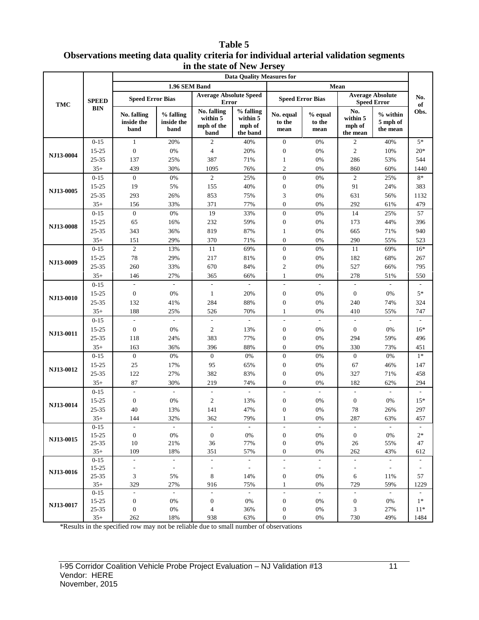#### **Table 5 Observations meeting data quality criteria for individual arterial validation segments in the state of New Jersey**

| 1.96 SEM Band<br>Mean<br><b>Average Absolute Speed</b><br><b>Average Absolute</b><br><b>Speed Error Bias</b><br><b>Speed Error Bias</b><br><b>SPEED</b><br><b>Speed Error</b><br><b>Error</b><br>TMC<br><b>BIN</b><br>No. falling<br>% falling<br>No.<br>% falling<br>$%$ within<br>No. falling<br>No. equal<br>% equal<br>within 5<br>within 5<br>within 5<br>inside the<br>inside the<br>to the<br>5 mph of<br>to the<br>mph of the<br>mph of<br>mph of<br>band<br>band<br>the mean<br>mean<br>mean<br>the band<br>the mean<br>band<br>$0 - 15$<br>$\mathbf{1}$<br>20%<br>$\mathfrak{2}$<br>40%<br>$\mathbf{0}$<br>0%<br>$\mathfrak{2}$<br>40%<br>$\overline{c}$<br>15-25<br>$\boldsymbol{0}$<br>0%<br>4<br>20%<br>$\mathbf{0}$<br>0%<br>10%<br>NJ13-0004<br>387<br>286<br>25-35<br>137<br>25%<br>71%<br>0%<br>53%<br>$\mathbf{1}$<br>$35+$<br>30%<br>76%<br>$\overline{2}$<br>860<br>439<br>1095<br>0%<br>60%<br>$0 - 15$<br>$\mathbf{0}$<br>0%<br>$\mathbf{2}$<br>$\mathbf{0}$<br>25%<br>0%<br>$\mathfrak{2}$<br>25%<br>19<br>5%<br>$\boldsymbol{0}$<br>91<br>15-25<br>155<br>40%<br>0%<br>24%<br>NJ13-0005<br>3<br>631<br>25-35<br>293<br>26%<br>853<br>75%<br>0%<br>56%<br>$\boldsymbol{0}$<br>156<br>33%<br>371<br>77%<br>0%<br>292<br>61%<br>$35+$<br>$\overline{0}$<br>19<br>$0 - 15$<br>$0\%$<br>33%<br>$\boldsymbol{0}$<br>$0\%$<br>14<br>25%<br>65<br>232<br>59%<br>$\boldsymbol{0}$<br>173<br>15-25<br>16%<br>0%<br>44%<br><b>NJ13-0008</b><br>819<br>87%<br>25-35<br>343<br>36%<br>0%<br>665<br>71%<br>$\mathbf{1}$<br>$35+$<br>151<br>29%<br>370<br>71%<br>$\mathbf{0}$<br>0%<br>290<br>55%<br>$\overline{c}$<br>$\boldsymbol{0}$<br>13%<br>11<br>69%<br>0%<br>11<br>69%<br>$0 - 15$<br>$78\,$<br>29%<br>217<br>81%<br>$\boldsymbol{0}$<br>182<br>15-25<br>0%<br>68%<br>NJ13-0009<br>260<br>$\sqrt{2}$<br>25-35<br>33%<br>670<br>84%<br>0%<br>527<br>66%<br>27%<br>0%<br>278<br>$35+$<br>146<br>365<br>66%<br>$\mathbf{1}$<br>51%<br>$0 - 15$<br>$\overline{\phantom{a}}$<br>$\overline{\phantom{a}}$<br>$\overline{a}$<br>15-25<br>$\boldsymbol{0}$<br>0%<br>$\mathbf{1}$<br>20%<br>$\boldsymbol{0}$<br>0%<br>$\boldsymbol{0}$<br>0%<br>NJ13-0010<br>132<br>284<br>88%<br>25-35<br>41%<br>$\boldsymbol{0}$<br>0%<br>240<br>74%<br>$35+$<br>188<br>25%<br>526<br>70%<br>$\mathbf{1}$<br>0%<br>410<br>55%<br>$0 - 15$<br>$\overline{\phantom{a}}$<br>$\blacksquare$<br>$\overline{\phantom{a}}$<br>$\blacksquare$<br>$\overline{\phantom{a}}$<br>$\blacksquare$<br>$\blacksquare$<br>$\overline{\phantom{a}}$<br>15-25<br>$\boldsymbol{0}$<br>0%<br>$\mathfrak{2}$<br>13%<br>$\mathbf{0}$<br>0%<br>$\boldsymbol{0}$<br>0%<br><b>NJ13-0011</b><br>25-35<br>383<br>77%<br>118<br>24%<br>$\boldsymbol{0}$<br>0%<br>294<br>59%<br>$35+$<br>396<br>88%<br>0%<br>163<br>36%<br>$\boldsymbol{0}$<br>330<br>73%<br>$0 - 15$<br>$\mathbf{0}$<br>0%<br>$\boldsymbol{0}$<br>0%<br>$\boldsymbol{0}$<br>0%<br>$\mathbf{0}$<br>0%<br>25<br>95<br>67<br>15-25<br>17%<br>65%<br>$\boldsymbol{0}$<br>0%<br>46%<br><b>NJ13-0012</b><br>122<br>382<br>25-35<br>27%<br>83%<br>$\boldsymbol{0}$<br>0%<br>327<br>71% | No.<br>of                |
|--------------------------------------------------------------------------------------------------------------------------------------------------------------------------------------------------------------------------------------------------------------------------------------------------------------------------------------------------------------------------------------------------------------------------------------------------------------------------------------------------------------------------------------------------------------------------------------------------------------------------------------------------------------------------------------------------------------------------------------------------------------------------------------------------------------------------------------------------------------------------------------------------------------------------------------------------------------------------------------------------------------------------------------------------------------------------------------------------------------------------------------------------------------------------------------------------------------------------------------------------------------------------------------------------------------------------------------------------------------------------------------------------------------------------------------------------------------------------------------------------------------------------------------------------------------------------------------------------------------------------------------------------------------------------------------------------------------------------------------------------------------------------------------------------------------------------------------------------------------------------------------------------------------------------------------------------------------------------------------------------------------------------------------------------------------------------------------------------------------------------------------------------------------------------------------------------------------------------------------------------------------------------------------------------------------------------------------------------------------------------------------------------------------------------------------------------------------------------------------------------------------------------------------------------------------------------------------------------------------------------------------------------------------------------------------------------------------------------------------------------------------------------------------------------------------------------------------------------------------------------------------------------------------------------------------------------------------------------------------------------------------------------------------------------------------------------------------------------------------|--------------------------|
|                                                                                                                                                                                                                                                                                                                                                                                                                                                                                                                                                                                                                                                                                                                                                                                                                                                                                                                                                                                                                                                                                                                                                                                                                                                                                                                                                                                                                                                                                                                                                                                                                                                                                                                                                                                                                                                                                                                                                                                                                                                                                                                                                                                                                                                                                                                                                                                                                                                                                                                                                                                                                                                                                                                                                                                                                                                                                                                                                                                                                                                                                                              |                          |
|                                                                                                                                                                                                                                                                                                                                                                                                                                                                                                                                                                                                                                                                                                                                                                                                                                                                                                                                                                                                                                                                                                                                                                                                                                                                                                                                                                                                                                                                                                                                                                                                                                                                                                                                                                                                                                                                                                                                                                                                                                                                                                                                                                                                                                                                                                                                                                                                                                                                                                                                                                                                                                                                                                                                                                                                                                                                                                                                                                                                                                                                                                              |                          |
|                                                                                                                                                                                                                                                                                                                                                                                                                                                                                                                                                                                                                                                                                                                                                                                                                                                                                                                                                                                                                                                                                                                                                                                                                                                                                                                                                                                                                                                                                                                                                                                                                                                                                                                                                                                                                                                                                                                                                                                                                                                                                                                                                                                                                                                                                                                                                                                                                                                                                                                                                                                                                                                                                                                                                                                                                                                                                                                                                                                                                                                                                                              | Obs.                     |
|                                                                                                                                                                                                                                                                                                                                                                                                                                                                                                                                                                                                                                                                                                                                                                                                                                                                                                                                                                                                                                                                                                                                                                                                                                                                                                                                                                                                                                                                                                                                                                                                                                                                                                                                                                                                                                                                                                                                                                                                                                                                                                                                                                                                                                                                                                                                                                                                                                                                                                                                                                                                                                                                                                                                                                                                                                                                                                                                                                                                                                                                                                              | $5*$                     |
|                                                                                                                                                                                                                                                                                                                                                                                                                                                                                                                                                                                                                                                                                                                                                                                                                                                                                                                                                                                                                                                                                                                                                                                                                                                                                                                                                                                                                                                                                                                                                                                                                                                                                                                                                                                                                                                                                                                                                                                                                                                                                                                                                                                                                                                                                                                                                                                                                                                                                                                                                                                                                                                                                                                                                                                                                                                                                                                                                                                                                                                                                                              | $20*$                    |
|                                                                                                                                                                                                                                                                                                                                                                                                                                                                                                                                                                                                                                                                                                                                                                                                                                                                                                                                                                                                                                                                                                                                                                                                                                                                                                                                                                                                                                                                                                                                                                                                                                                                                                                                                                                                                                                                                                                                                                                                                                                                                                                                                                                                                                                                                                                                                                                                                                                                                                                                                                                                                                                                                                                                                                                                                                                                                                                                                                                                                                                                                                              | 544                      |
|                                                                                                                                                                                                                                                                                                                                                                                                                                                                                                                                                                                                                                                                                                                                                                                                                                                                                                                                                                                                                                                                                                                                                                                                                                                                                                                                                                                                                                                                                                                                                                                                                                                                                                                                                                                                                                                                                                                                                                                                                                                                                                                                                                                                                                                                                                                                                                                                                                                                                                                                                                                                                                                                                                                                                                                                                                                                                                                                                                                                                                                                                                              | 1440                     |
|                                                                                                                                                                                                                                                                                                                                                                                                                                                                                                                                                                                                                                                                                                                                                                                                                                                                                                                                                                                                                                                                                                                                                                                                                                                                                                                                                                                                                                                                                                                                                                                                                                                                                                                                                                                                                                                                                                                                                                                                                                                                                                                                                                                                                                                                                                                                                                                                                                                                                                                                                                                                                                                                                                                                                                                                                                                                                                                                                                                                                                                                                                              | $8*$                     |
|                                                                                                                                                                                                                                                                                                                                                                                                                                                                                                                                                                                                                                                                                                                                                                                                                                                                                                                                                                                                                                                                                                                                                                                                                                                                                                                                                                                                                                                                                                                                                                                                                                                                                                                                                                                                                                                                                                                                                                                                                                                                                                                                                                                                                                                                                                                                                                                                                                                                                                                                                                                                                                                                                                                                                                                                                                                                                                                                                                                                                                                                                                              | 383                      |
|                                                                                                                                                                                                                                                                                                                                                                                                                                                                                                                                                                                                                                                                                                                                                                                                                                                                                                                                                                                                                                                                                                                                                                                                                                                                                                                                                                                                                                                                                                                                                                                                                                                                                                                                                                                                                                                                                                                                                                                                                                                                                                                                                                                                                                                                                                                                                                                                                                                                                                                                                                                                                                                                                                                                                                                                                                                                                                                                                                                                                                                                                                              | 1132                     |
|                                                                                                                                                                                                                                                                                                                                                                                                                                                                                                                                                                                                                                                                                                                                                                                                                                                                                                                                                                                                                                                                                                                                                                                                                                                                                                                                                                                                                                                                                                                                                                                                                                                                                                                                                                                                                                                                                                                                                                                                                                                                                                                                                                                                                                                                                                                                                                                                                                                                                                                                                                                                                                                                                                                                                                                                                                                                                                                                                                                                                                                                                                              | 479                      |
|                                                                                                                                                                                                                                                                                                                                                                                                                                                                                                                                                                                                                                                                                                                                                                                                                                                                                                                                                                                                                                                                                                                                                                                                                                                                                                                                                                                                                                                                                                                                                                                                                                                                                                                                                                                                                                                                                                                                                                                                                                                                                                                                                                                                                                                                                                                                                                                                                                                                                                                                                                                                                                                                                                                                                                                                                                                                                                                                                                                                                                                                                                              | 57                       |
|                                                                                                                                                                                                                                                                                                                                                                                                                                                                                                                                                                                                                                                                                                                                                                                                                                                                                                                                                                                                                                                                                                                                                                                                                                                                                                                                                                                                                                                                                                                                                                                                                                                                                                                                                                                                                                                                                                                                                                                                                                                                                                                                                                                                                                                                                                                                                                                                                                                                                                                                                                                                                                                                                                                                                                                                                                                                                                                                                                                                                                                                                                              | 396                      |
|                                                                                                                                                                                                                                                                                                                                                                                                                                                                                                                                                                                                                                                                                                                                                                                                                                                                                                                                                                                                                                                                                                                                                                                                                                                                                                                                                                                                                                                                                                                                                                                                                                                                                                                                                                                                                                                                                                                                                                                                                                                                                                                                                                                                                                                                                                                                                                                                                                                                                                                                                                                                                                                                                                                                                                                                                                                                                                                                                                                                                                                                                                              | 940                      |
|                                                                                                                                                                                                                                                                                                                                                                                                                                                                                                                                                                                                                                                                                                                                                                                                                                                                                                                                                                                                                                                                                                                                                                                                                                                                                                                                                                                                                                                                                                                                                                                                                                                                                                                                                                                                                                                                                                                                                                                                                                                                                                                                                                                                                                                                                                                                                                                                                                                                                                                                                                                                                                                                                                                                                                                                                                                                                                                                                                                                                                                                                                              | 523                      |
|                                                                                                                                                                                                                                                                                                                                                                                                                                                                                                                                                                                                                                                                                                                                                                                                                                                                                                                                                                                                                                                                                                                                                                                                                                                                                                                                                                                                                                                                                                                                                                                                                                                                                                                                                                                                                                                                                                                                                                                                                                                                                                                                                                                                                                                                                                                                                                                                                                                                                                                                                                                                                                                                                                                                                                                                                                                                                                                                                                                                                                                                                                              | $16*$                    |
|                                                                                                                                                                                                                                                                                                                                                                                                                                                                                                                                                                                                                                                                                                                                                                                                                                                                                                                                                                                                                                                                                                                                                                                                                                                                                                                                                                                                                                                                                                                                                                                                                                                                                                                                                                                                                                                                                                                                                                                                                                                                                                                                                                                                                                                                                                                                                                                                                                                                                                                                                                                                                                                                                                                                                                                                                                                                                                                                                                                                                                                                                                              | 267                      |
|                                                                                                                                                                                                                                                                                                                                                                                                                                                                                                                                                                                                                                                                                                                                                                                                                                                                                                                                                                                                                                                                                                                                                                                                                                                                                                                                                                                                                                                                                                                                                                                                                                                                                                                                                                                                                                                                                                                                                                                                                                                                                                                                                                                                                                                                                                                                                                                                                                                                                                                                                                                                                                                                                                                                                                                                                                                                                                                                                                                                                                                                                                              | 795                      |
|                                                                                                                                                                                                                                                                                                                                                                                                                                                                                                                                                                                                                                                                                                                                                                                                                                                                                                                                                                                                                                                                                                                                                                                                                                                                                                                                                                                                                                                                                                                                                                                                                                                                                                                                                                                                                                                                                                                                                                                                                                                                                                                                                                                                                                                                                                                                                                                                                                                                                                                                                                                                                                                                                                                                                                                                                                                                                                                                                                                                                                                                                                              | 550                      |
|                                                                                                                                                                                                                                                                                                                                                                                                                                                                                                                                                                                                                                                                                                                                                                                                                                                                                                                                                                                                                                                                                                                                                                                                                                                                                                                                                                                                                                                                                                                                                                                                                                                                                                                                                                                                                                                                                                                                                                                                                                                                                                                                                                                                                                                                                                                                                                                                                                                                                                                                                                                                                                                                                                                                                                                                                                                                                                                                                                                                                                                                                                              |                          |
|                                                                                                                                                                                                                                                                                                                                                                                                                                                                                                                                                                                                                                                                                                                                                                                                                                                                                                                                                                                                                                                                                                                                                                                                                                                                                                                                                                                                                                                                                                                                                                                                                                                                                                                                                                                                                                                                                                                                                                                                                                                                                                                                                                                                                                                                                                                                                                                                                                                                                                                                                                                                                                                                                                                                                                                                                                                                                                                                                                                                                                                                                                              | $5*$                     |
|                                                                                                                                                                                                                                                                                                                                                                                                                                                                                                                                                                                                                                                                                                                                                                                                                                                                                                                                                                                                                                                                                                                                                                                                                                                                                                                                                                                                                                                                                                                                                                                                                                                                                                                                                                                                                                                                                                                                                                                                                                                                                                                                                                                                                                                                                                                                                                                                                                                                                                                                                                                                                                                                                                                                                                                                                                                                                                                                                                                                                                                                                                              | 324                      |
|                                                                                                                                                                                                                                                                                                                                                                                                                                                                                                                                                                                                                                                                                                                                                                                                                                                                                                                                                                                                                                                                                                                                                                                                                                                                                                                                                                                                                                                                                                                                                                                                                                                                                                                                                                                                                                                                                                                                                                                                                                                                                                                                                                                                                                                                                                                                                                                                                                                                                                                                                                                                                                                                                                                                                                                                                                                                                                                                                                                                                                                                                                              | 747                      |
|                                                                                                                                                                                                                                                                                                                                                                                                                                                                                                                                                                                                                                                                                                                                                                                                                                                                                                                                                                                                                                                                                                                                                                                                                                                                                                                                                                                                                                                                                                                                                                                                                                                                                                                                                                                                                                                                                                                                                                                                                                                                                                                                                                                                                                                                                                                                                                                                                                                                                                                                                                                                                                                                                                                                                                                                                                                                                                                                                                                                                                                                                                              |                          |
|                                                                                                                                                                                                                                                                                                                                                                                                                                                                                                                                                                                                                                                                                                                                                                                                                                                                                                                                                                                                                                                                                                                                                                                                                                                                                                                                                                                                                                                                                                                                                                                                                                                                                                                                                                                                                                                                                                                                                                                                                                                                                                                                                                                                                                                                                                                                                                                                                                                                                                                                                                                                                                                                                                                                                                                                                                                                                                                                                                                                                                                                                                              | $16*$                    |
|                                                                                                                                                                                                                                                                                                                                                                                                                                                                                                                                                                                                                                                                                                                                                                                                                                                                                                                                                                                                                                                                                                                                                                                                                                                                                                                                                                                                                                                                                                                                                                                                                                                                                                                                                                                                                                                                                                                                                                                                                                                                                                                                                                                                                                                                                                                                                                                                                                                                                                                                                                                                                                                                                                                                                                                                                                                                                                                                                                                                                                                                                                              | 496                      |
|                                                                                                                                                                                                                                                                                                                                                                                                                                                                                                                                                                                                                                                                                                                                                                                                                                                                                                                                                                                                                                                                                                                                                                                                                                                                                                                                                                                                                                                                                                                                                                                                                                                                                                                                                                                                                                                                                                                                                                                                                                                                                                                                                                                                                                                                                                                                                                                                                                                                                                                                                                                                                                                                                                                                                                                                                                                                                                                                                                                                                                                                                                              | 451                      |
|                                                                                                                                                                                                                                                                                                                                                                                                                                                                                                                                                                                                                                                                                                                                                                                                                                                                                                                                                                                                                                                                                                                                                                                                                                                                                                                                                                                                                                                                                                                                                                                                                                                                                                                                                                                                                                                                                                                                                                                                                                                                                                                                                                                                                                                                                                                                                                                                                                                                                                                                                                                                                                                                                                                                                                                                                                                                                                                                                                                                                                                                                                              | $1*$                     |
|                                                                                                                                                                                                                                                                                                                                                                                                                                                                                                                                                                                                                                                                                                                                                                                                                                                                                                                                                                                                                                                                                                                                                                                                                                                                                                                                                                                                                                                                                                                                                                                                                                                                                                                                                                                                                                                                                                                                                                                                                                                                                                                                                                                                                                                                                                                                                                                                                                                                                                                                                                                                                                                                                                                                                                                                                                                                                                                                                                                                                                                                                                              | 147                      |
|                                                                                                                                                                                                                                                                                                                                                                                                                                                                                                                                                                                                                                                                                                                                                                                                                                                                                                                                                                                                                                                                                                                                                                                                                                                                                                                                                                                                                                                                                                                                                                                                                                                                                                                                                                                                                                                                                                                                                                                                                                                                                                                                                                                                                                                                                                                                                                                                                                                                                                                                                                                                                                                                                                                                                                                                                                                                                                                                                                                                                                                                                                              | 458                      |
| 87<br>$\overline{0}$<br>$35+$<br>30%<br>219<br>74%<br>0%<br>182<br>62%                                                                                                                                                                                                                                                                                                                                                                                                                                                                                                                                                                                                                                                                                                                                                                                                                                                                                                                                                                                                                                                                                                                                                                                                                                                                                                                                                                                                                                                                                                                                                                                                                                                                                                                                                                                                                                                                                                                                                                                                                                                                                                                                                                                                                                                                                                                                                                                                                                                                                                                                                                                                                                                                                                                                                                                                                                                                                                                                                                                                                                       | 294                      |
| $\overline{\phantom{a}}$<br>$\overline{\phantom{a}}$<br>$0 - 15$<br>$\overline{\phantom{a}}$<br>$\overline{\phantom{a}}$<br>$\Box$<br>$\overline{a}$<br>$\blacksquare$<br>$\overline{\phantom{a}}$                                                                                                                                                                                                                                                                                                                                                                                                                                                                                                                                                                                                                                                                                                                                                                                                                                                                                                                                                                                                                                                                                                                                                                                                                                                                                                                                                                                                                                                                                                                                                                                                                                                                                                                                                                                                                                                                                                                                                                                                                                                                                                                                                                                                                                                                                                                                                                                                                                                                                                                                                                                                                                                                                                                                                                                                                                                                                                           | $\overline{\phantom{a}}$ |
| 15-25<br>$\boldsymbol{0}$<br>0%<br>$\mathfrak{2}$<br>$\boldsymbol{0}$<br>0%<br>$\boldsymbol{0}$<br>0%<br>13%<br>NJ13-0014                                                                                                                                                                                                                                                                                                                                                                                                                                                                                                                                                                                                                                                                                                                                                                                                                                                                                                                                                                                                                                                                                                                                                                                                                                                                                                                                                                                                                                                                                                                                                                                                                                                                                                                                                                                                                                                                                                                                                                                                                                                                                                                                                                                                                                                                                                                                                                                                                                                                                                                                                                                                                                                                                                                                                                                                                                                                                                                                                                                    | $15*$                    |
| 25-35<br>40<br>47%<br>78<br>13%<br>141<br>$\mathbf{0}$<br>0%<br>26%                                                                                                                                                                                                                                                                                                                                                                                                                                                                                                                                                                                                                                                                                                                                                                                                                                                                                                                                                                                                                                                                                                                                                                                                                                                                                                                                                                                                                                                                                                                                                                                                                                                                                                                                                                                                                                                                                                                                                                                                                                                                                                                                                                                                                                                                                                                                                                                                                                                                                                                                                                                                                                                                                                                                                                                                                                                                                                                                                                                                                                          | 297                      |
| $35+$<br>32%<br>362<br>79%<br>$0\%$<br>287<br>63%<br>144<br>1                                                                                                                                                                                                                                                                                                                                                                                                                                                                                                                                                                                                                                                                                                                                                                                                                                                                                                                                                                                                                                                                                                                                                                                                                                                                                                                                                                                                                                                                                                                                                                                                                                                                                                                                                                                                                                                                                                                                                                                                                                                                                                                                                                                                                                                                                                                                                                                                                                                                                                                                                                                                                                                                                                                                                                                                                                                                                                                                                                                                                                                | 457                      |
| $0 - 15$<br>$\sim$<br>$\sim$<br>$\overline{\phantom{a}}$<br>$\overline{\phantom{a}}$<br>$\blacksquare$<br>$\overline{\phantom{a}}$<br>$\sim$<br>$\overline{\phantom{a}}$                                                                                                                                                                                                                                                                                                                                                                                                                                                                                                                                                                                                                                                                                                                                                                                                                                                                                                                                                                                                                                                                                                                                                                                                                                                                                                                                                                                                                                                                                                                                                                                                                                                                                                                                                                                                                                                                                                                                                                                                                                                                                                                                                                                                                                                                                                                                                                                                                                                                                                                                                                                                                                                                                                                                                                                                                                                                                                                                     | $\overline{\phantom{a}}$ |
| $15 - 25$<br>$\mathbf{0}$<br>0%<br>$\boldsymbol{0}$<br>0%<br>$\boldsymbol{0}$<br>0%<br>$\boldsymbol{0}$<br>0%<br>NJ13-0015                                                                                                                                                                                                                                                                                                                                                                                                                                                                                                                                                                                                                                                                                                                                                                                                                                                                                                                                                                                                                                                                                                                                                                                                                                                                                                                                                                                                                                                                                                                                                                                                                                                                                                                                                                                                                                                                                                                                                                                                                                                                                                                                                                                                                                                                                                                                                                                                                                                                                                                                                                                                                                                                                                                                                                                                                                                                                                                                                                                   | $2*$                     |
| $25 - 35$<br>$10\,$<br>21%<br>36<br>77%<br>$\boldsymbol{0}$<br>0%<br>$26\,$<br>55%                                                                                                                                                                                                                                                                                                                                                                                                                                                                                                                                                                                                                                                                                                                                                                                                                                                                                                                                                                                                                                                                                                                                                                                                                                                                                                                                                                                                                                                                                                                                                                                                                                                                                                                                                                                                                                                                                                                                                                                                                                                                                                                                                                                                                                                                                                                                                                                                                                                                                                                                                                                                                                                                                                                                                                                                                                                                                                                                                                                                                           | 47                       |
| $35+$<br>109<br>18%<br>351<br>57%<br>$\mathbf{0}$<br>0%<br>262<br>43%                                                                                                                                                                                                                                                                                                                                                                                                                                                                                                                                                                                                                                                                                                                                                                                                                                                                                                                                                                                                                                                                                                                                                                                                                                                                                                                                                                                                                                                                                                                                                                                                                                                                                                                                                                                                                                                                                                                                                                                                                                                                                                                                                                                                                                                                                                                                                                                                                                                                                                                                                                                                                                                                                                                                                                                                                                                                                                                                                                                                                                        | 612                      |
| $\frac{1}{2}$<br>$0 - 15$<br>$\overline{\phantom{a}}$<br>$\omega_{\rm c}$<br>$\overline{\phantom{a}}$<br>$\sim$<br>$\sim$<br>$\overline{\phantom{a}}$<br>$\mathcal{L}_{\mathcal{A}}$                                                                                                                                                                                                                                                                                                                                                                                                                                                                                                                                                                                                                                                                                                                                                                                                                                                                                                                                                                                                                                                                                                                                                                                                                                                                                                                                                                                                                                                                                                                                                                                                                                                                                                                                                                                                                                                                                                                                                                                                                                                                                                                                                                                                                                                                                                                                                                                                                                                                                                                                                                                                                                                                                                                                                                                                                                                                                                                         | $\overline{\phantom{a}}$ |
| $15 - 25$<br>$\blacksquare$<br>$\sim$<br>$\blacksquare$<br>$\blacksquare$<br>$\overline{\phantom{a}}$<br>$\overline{\phantom{a}}$<br>$\overline{\phantom{a}}$<br>$\overline{\phantom{a}}$<br>NJ13-0016                                                                                                                                                                                                                                                                                                                                                                                                                                                                                                                                                                                                                                                                                                                                                                                                                                                                                                                                                                                                                                                                                                                                                                                                                                                                                                                                                                                                                                                                                                                                                                                                                                                                                                                                                                                                                                                                                                                                                                                                                                                                                                                                                                                                                                                                                                                                                                                                                                                                                                                                                                                                                                                                                                                                                                                                                                                                                                       | $\overline{\phantom{a}}$ |
| $25 - 35$<br>3<br>5%<br>8<br>0%<br>14%<br>$\boldsymbol{0}$<br>6<br>11%<br>$35+$<br>329<br>27%<br>75%<br>0%<br>916<br>$\mathbf{1}$<br>729<br>59%                                                                                                                                                                                                                                                                                                                                                                                                                                                                                                                                                                                                                                                                                                                                                                                                                                                                                                                                                                                                                                                                                                                                                                                                                                                                                                                                                                                                                                                                                                                                                                                                                                                                                                                                                                                                                                                                                                                                                                                                                                                                                                                                                                                                                                                                                                                                                                                                                                                                                                                                                                                                                                                                                                                                                                                                                                                                                                                                                              | 57<br>1229               |
| $\sim$<br>$\sim$<br>$\Box$<br>$\overline{\phantom{a}}$<br>$\sim$<br>$\bar{\phantom{a}}$<br>$\sim$<br>$0 - 15$<br>$\overline{\phantom{a}}$                                                                                                                                                                                                                                                                                                                                                                                                                                                                                                                                                                                                                                                                                                                                                                                                                                                                                                                                                                                                                                                                                                                                                                                                                                                                                                                                                                                                                                                                                                                                                                                                                                                                                                                                                                                                                                                                                                                                                                                                                                                                                                                                                                                                                                                                                                                                                                                                                                                                                                                                                                                                                                                                                                                                                                                                                                                                                                                                                                    | $\overline{\phantom{a}}$ |
| $15 - 25$<br>$\boldsymbol{0}$<br>$\boldsymbol{0}$<br>0%<br>$\boldsymbol{0}$<br>0%<br>0%<br>$\boldsymbol{0}$<br>0%                                                                                                                                                                                                                                                                                                                                                                                                                                                                                                                                                                                                                                                                                                                                                                                                                                                                                                                                                                                                                                                                                                                                                                                                                                                                                                                                                                                                                                                                                                                                                                                                                                                                                                                                                                                                                                                                                                                                                                                                                                                                                                                                                                                                                                                                                                                                                                                                                                                                                                                                                                                                                                                                                                                                                                                                                                                                                                                                                                                            | $1*$                     |
| NJ13-0017<br>25-35<br>$\boldsymbol{0}$<br>0%<br>$\overline{\mathcal{L}}$<br>36%<br>0%<br>3<br>27%<br>$\boldsymbol{0}$                                                                                                                                                                                                                                                                                                                                                                                                                                                                                                                                                                                                                                                                                                                                                                                                                                                                                                                                                                                                                                                                                                                                                                                                                                                                                                                                                                                                                                                                                                                                                                                                                                                                                                                                                                                                                                                                                                                                                                                                                                                                                                                                                                                                                                                                                                                                                                                                                                                                                                                                                                                                                                                                                                                                                                                                                                                                                                                                                                                        | $11*$                    |
| $35+$<br>262<br>63%<br>$\mathbf{0}$<br>0%<br>730<br>49%<br>18%<br>938                                                                                                                                                                                                                                                                                                                                                                                                                                                                                                                                                                                                                                                                                                                                                                                                                                                                                                                                                                                                                                                                                                                                                                                                                                                                                                                                                                                                                                                                                                                                                                                                                                                                                                                                                                                                                                                                                                                                                                                                                                                                                                                                                                                                                                                                                                                                                                                                                                                                                                                                                                                                                                                                                                                                                                                                                                                                                                                                                                                                                                        | 1484                     |